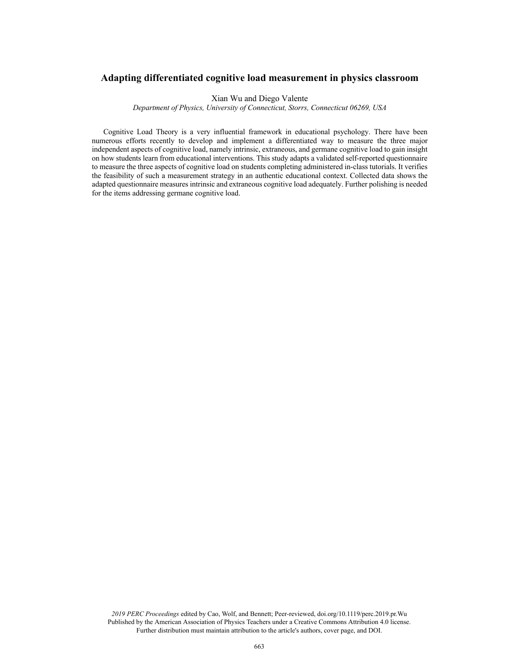# **Adapting differentiated cognitive load measurement in physics classroom**

Xian Wu and Diego Valente

*Department of Physics, University of Connecticut, Storrs, Connecticut 06269, USA*

Cognitive Load Theory is a very influential framework in educational psychology. There have been numerous efforts recently to develop and implement a differentiated way to measure the three major independent aspects of cognitive load, namely intrinsic, extraneous, and germane cognitive load to gain insight on how students learn from educational interventions. This study adapts a validated self-reported questionnaire to measure the three aspects of cognitive load on students completing administered in-class tutorials. It verifies the feasibility of such a measurement strategy in an authentic educational context. Collected data shows the adapted questionnaire measures intrinsic and extraneous cognitive load adequately. Further polishing is needed for the items addressing germane cognitive load.

*2019 PERC Proceedings* edited by Cao, Wolf, and Bennett; Peer-reviewed, doi.org/10.1119/perc.2019.pr.Wu Published by the American Association of Physics Teachers under a Creative Commons Attribution 4.0 license. Further distribution must maintain attribution to the article's authors, cover page, and DOI.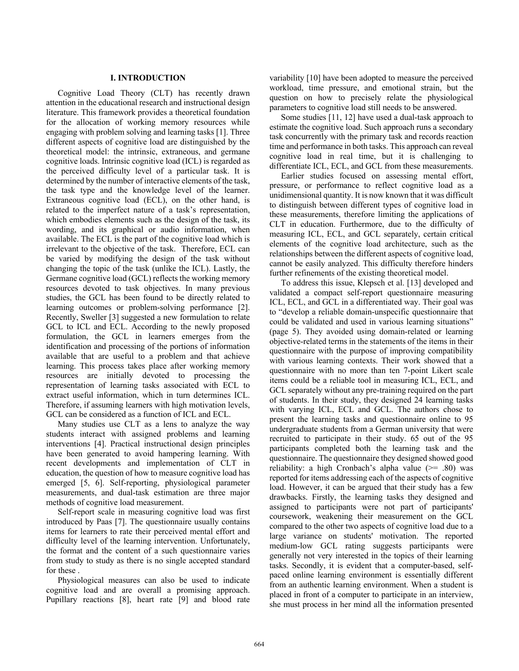### **I. INTRODUCTION**

Cognitive Load Theory (CLT) has recently drawn attention in the educational research and instructional design literature. This framework provides a theoretical foundation for the allocation of working memory resources while engaging with problem solving and learning tasks [1]. Three different aspects of cognitive load are distinguished by the theoretical model: the intrinsic, extraneous, and germane cognitive loads. Intrinsic cognitive load (ICL) is regarded as the perceived difficulty level of a particular task. It is determined by the number of interactive elements of the task, the task type and the knowledge level of the learner. Extraneous cognitive load (ECL), on the other hand, is related to the imperfect nature of a task's representation, which embodies elements such as the design of the task, its wording, and its graphical or audio information, when available. The ECL is the part of the cognitive load which is irrelevant to the objective of the task. Therefore, ECL can be varied by modifying the design of the task without changing the topic of the task (unlike the ICL). Lastly, the Germane cognitive load (GCL) reflects the working memory resources devoted to task objectives. In many previous studies, the GCL has been found to be directly related to learning outcomes or problem-solving performance [2]. Recently, Sweller [3] suggested a new formulation to relate GCL to ICL and ECL. According to the newly proposed formulation, the GCL in learners emerges from the identification and processing of the portions of information available that are useful to a problem and that achieve learning. This process takes place after working memory resources are initially devoted to processing the representation of learning tasks associated with ECL to extract useful information, which in turn determines ICL. Therefore, if assuming learners with high motivation levels, GCL can be considered as a function of ICL and ECL.

Many studies use CLT as a lens to analyze the way students interact with assigned problems and learning interventions [4]. Practical instructional design principles have been generated to avoid hampering learning. With recent developments and implementation of CLT in education, the question of how to measure cognitive load has emerged [5, 6]. Self-reporting, physiological parameter measurements, and dual-task estimation are three major methods of cognitive load measurement.

Self-report scale in measuring cognitive load was first introduced by Paas [7]. The questionnaire usually contains items for learners to rate their perceived mental effort and difficulty level of the learning intervention. Unfortunately, the format and the content of a such questionnaire varies from study to study as there is no single accepted standard for these .

Physiological measures can also be used to indicate cognitive load and are overall a promising approach. Pupillary reactions [8], heart rate [9] and blood rate variability [10] have been adopted to measure the perceived workload, time pressure, and emotional strain, but the question on how to precisely relate the physiological parameters to cognitive load still needs to be answered.

Some studies [11, 12] have used a dual-task approach to estimate the cognitive load. Such approach runs a secondary task concurrently with the primary task and records reaction time and performance in both tasks. This approach can reveal cognitive load in real time, but it is challenging to differentiate ICL, ECL, and GCL from these measurements.

Earlier studies focused on assessing mental effort, pressure, or performance to reflect cognitive load as a unidimensional quantity. It is now known that it was difficult to distinguish between different types of cognitive load in these measurements, therefore limiting the applications of CLT in education. Furthermore, due to the difficulty of measuring ICL, ECL, and GCL separately, certain critical elements of the cognitive load architecture, such as the relationships between the different aspects of cognitive load, cannot be easily analyzed. This difficulty therefore hinders further refinements of the existing theoretical model.

To address this issue, Klepsch et al. [13] developed and validated a compact self-report questionnaire measuring ICL, ECL, and GCL in a differentiated way. Their goal was to "develop a reliable domain-unspecific questionnaire that could be validated and used in various learning situations" (page 5). They avoided using domain-related or learning objective-related terms in the statements of the items in their questionnaire with the purpose of improving compatibility with various learning contexts. Their work showed that a questionnaire with no more than ten 7-point Likert scale items could be a reliable tool in measuring ICL, ECL, and GCL separately without any pre-training required on the part of students. In their study, they designed 24 learning tasks with varying ICL, ECL and GCL. The authors chose to present the learning tasks and questionnaire online to 95 undergraduate students from a German university that were recruited to participate in their study. 65 out of the 95 participants completed both the learning task and the questionnaire. The questionnaire they designed showed good reliability: a high Cronbach's alpha value  $(>= .80)$  was reported for items addressing each of the aspects of cognitive load. However, it can be argued that their study has a few drawbacks. Firstly, the learning tasks they designed and assigned to participants were not part of participants' coursework, weakening their measurement on the GCL compared to the other two aspects of cognitive load due to a large variance on students' motivation. The reported medium-low GCL rating suggests participants were generally not very interested in the topics of their learning tasks. Secondly, it is evident that a computer-based, selfpaced online learning environment is essentially different from an authentic learning environment. When a student is placed in front of a computer to participate in an interview, she must process in her mind all the information presented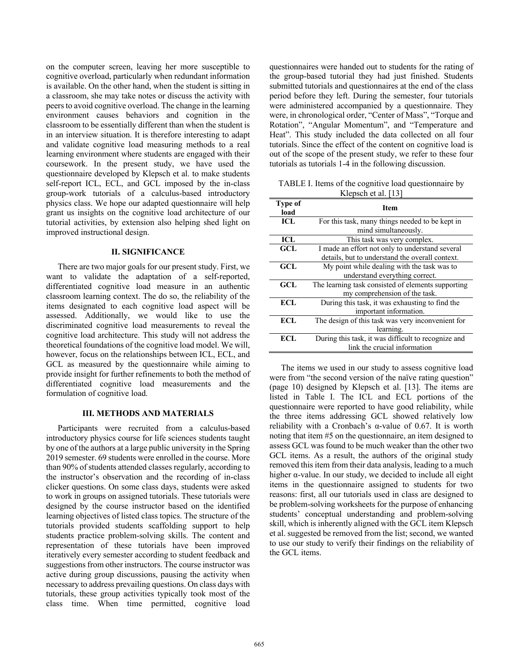on the computer screen, leaving her more susceptible to cognitive overload, particularly when redundant information is available. On the other hand, when the student is sitting in a classroom, she may take notes or discuss the activity with peers to avoid cognitive overload. The change in the learning environment causes behaviors and cognition in the classroom to be essentially different than when the student is in an interview situation. It is therefore interesting to adapt and validate cognitive load measuring methods to a real learning environment where students are engaged with their coursework. In the present study, we have used the questionnaire developed by Klepsch et al. to make students self-report ICL, ECL, and GCL imposed by the in-class group-work tutorials of a calculus-based introductory physics class. We hope our adapted questionnaire will help grant us insights on the cognitive load architecture of our tutorial activities, by extension also helping shed light on improved instructional design.

## **II. SIGNIFICANCE**

There are two major goals for our present study. First, we want to validate the adaptation of a self-reported, differentiated cognitive load measure in an authentic classroom learning context. The do so, the reliability of the items designated to each cognitive load aspect will be assessed. Additionally, we would like to use the discriminated cognitive load measurements to reveal the cognitive load architecture. This study will not address the theoretical foundations of the cognitive load model. We will, however, focus on the relationships between ICL, ECL, and GCL as measured by the questionnaire while aiming to provide insight for further refinements to both the method of differentiated cognitive load measurements and the formulation of cognitive load.

#### **III. METHODS AND MATERIALS**

Participants were recruited from a calculus-based introductory physics course for life sciences students taught by one of the authors at a large public university in the Spring 2019 semester. 69 students were enrolled in the course. More than 90% of students attended classes regularly, according to the instructor's observation and the recording of in-class clicker questions. On some class days, students were asked to work in groups on assigned tutorials. These tutorials were designed by the course instructor based on the identified learning objectives of listed class topics. The structure of the tutorials provided students scaffolding support to help students practice problem-solving skills. The content and representation of these tutorials have been improved iteratively every semester according to student feedback and suggestions from other instructors. The course instructor was active during group discussions, pausing the activity when necessary to address prevailing questions. On class days with tutorials, these group activities typically took most of the class time. When time permitted, cognitive load

questionnaires were handed out to students for the rating of the group-based tutorial they had just finished. Students submitted tutorials and questionnaires at the end of the class period before they left. During the semester, four tutorials were administered accompanied by a questionnaire. They were, in chronological order, "Center of Mass", "Torque and Rotation", "Angular Momentum", and "Temperature and Heat". This study included the data collected on all four tutorials. Since the effect of the content on cognitive load is out of the scope of the present study, we refer to these four tutorials as tutorials 1-4 in the following discussion.

TABLE I. Items of the cognitive load questionnaire by Klepsch et al. [13]

| Type of<br>load | <b>Item</b>                                         |  |  |  |
|-----------------|-----------------------------------------------------|--|--|--|
| ICL             | For this task, many things needed to be kept in     |  |  |  |
|                 | mind simultaneously.                                |  |  |  |
| <b>ICL</b>      | This task was very complex.                         |  |  |  |
| <b>GCL</b>      | I made an effort not only to understand several     |  |  |  |
|                 | details, but to understand the overall context.     |  |  |  |
| GCL             | My point while dealing with the task was to         |  |  |  |
|                 | understand everything correct.                      |  |  |  |
| GCL             | The learning task consisted of elements supporting  |  |  |  |
|                 | my comprehension of the task.                       |  |  |  |
| ECL             | During this task, it was exhausting to find the     |  |  |  |
|                 | important information.                              |  |  |  |
| ECL             | The design of this task was very inconvenient for   |  |  |  |
|                 | learning.                                           |  |  |  |
| ECL             | During this task, it was difficult to recognize and |  |  |  |
|                 | link the crucial information                        |  |  |  |

The items we used in our study to assess cognitive load were from "the second version of the naïve rating question" (page 10) designed by Klepsch et al. [13]. The items are listed in Table I. The ICL and ECL portions of the questionnaire were reported to have good reliability, while the three items addressing GCL showed relatively low reliability with a Cronbach's  $\alpha$ -value of 0.67. It is worth noting that item #5 on the questionnaire, an item designed to assess GCL was found to be much weaker than the other two GCL items. As a result, the authors of the original study removed this item from their data analysis, leading to a much higher α-value. In our study, we decided to include all eight items in the questionnaire assigned to students for two reasons: first, all our tutorials used in class are designed to be problem-solving worksheets for the purpose of enhancing students' conceptual understanding and problem-solving skill, which is inherently aligned with the GCL item Klepsch et al. suggested be removed from the list; second, we wanted to use our study to verify their findings on the reliability of the GCL items.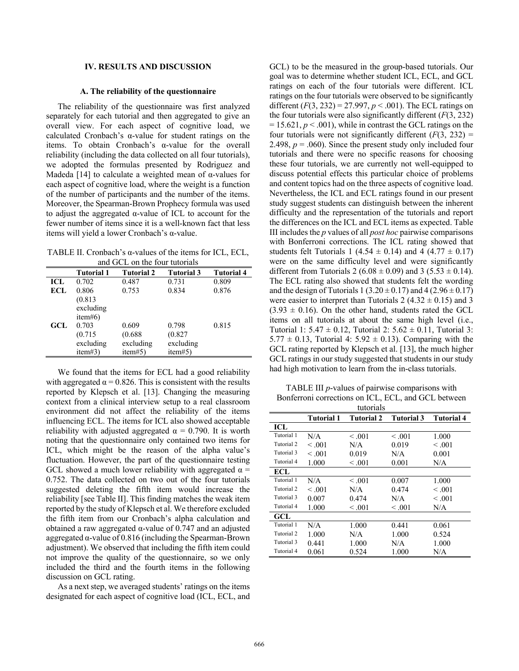## **IV. RESULTS AND DISCUSSION**

#### **A. The reliability of the questionnaire**

The reliability of the questionnaire was first analyzed separately for each tutorial and then aggregated to give an overall view. For each aspect of cognitive load, we calculated Cronbach's α-value for student ratings on the items. To obtain Cronbach's α-value for the overall reliability (including the data collected on all four tutorials), we adopted the formulas presented by Rodriguez and Madeda [14] to calculate a weighted mean of  $\alpha$ -values for each aspect of cognitive load, where the weight is a function of the number of participants and the number of the items. Moreover, the Spearman-Brown Prophecy formula was used to adjust the aggregated α-value of ICL to account for the fewer number of items since it is a well-known fact that less items will yield a lower Cronbach's α-value.

TABLE II. Cronbach's α-values of the items for ICL, ECL, and GCL on the four tutorials

|            | <b>Tutorial 1</b>    | <b>Tutorial 2</b>    | <b>Tutorial 3</b>    | <b>Tutorial 4</b> |
|------------|----------------------|----------------------|----------------------|-------------------|
| ICL        | 0.702                | 0.487                | 0.731                | 0.809             |
| <b>ECL</b> | 0.806                | 0.753                | 0.834                | 0.876             |
|            | (0.813)<br>excluding |                      |                      |                   |
| GCL        | item#6)<br>0.703     | 0.609                | 0.798                | 0.815             |
|            | (0.715)              | (0.688)              | (0.827)              |                   |
|            | excluding<br>item#3) | excluding<br>item#5) | excluding<br>item#5) |                   |

We found that the items for ECL had a good reliability with aggregated  $\alpha = 0.826$ . This is consistent with the results reported by Klepsch et al. [13]. Changing the measuring context from a clinical interview setup to a real classroom environment did not affect the reliability of the items influencing ECL. The items for ICL also showed acceptable reliability with adjusted aggregated  $\alpha = 0.790$ . It is worth noting that the questionnaire only contained two items for ICL, which might be the reason of the alpha value's fluctuation. However, the part of the questionnaire testing GCL showed a much lower reliability with aggregated  $\alpha$  = 0.752. The data collected on two out of the four tutorials suggested deleting the fifth item would increase the reliability [see Table II]. This finding matches the weak item reported by the study of Klepsch et al. We therefore excluded the fifth item from our Cronbach's alpha calculation and obtained a raw aggregated α-value of 0.747 and an adjusted aggregated  $\alpha$ -value of 0.816 (including the Spearman-Brown adjustment). We observed that including the fifth item could not improve the quality of the questionnaire, so we only included the third and the fourth items in the following discussion on GCL rating.

As a next step, we averaged students' ratings on the items designated for each aspect of cognitive load (ICL, ECL, and

GCL) to be the measured in the group-based tutorials. Our goal was to determine whether student ICL, ECL, and GCL ratings on each of the four tutorials were different. ICL ratings on the four tutorials were observed to be significantly different  $(F(3, 232) = 27.997, p < .001)$ . The ECL ratings on the four tutorials were also significantly different  $(F(3, 232))$  $= 15.621, p \le 0.001$ , while in contrast the GCL ratings on the four tutorials were not significantly different  $(F(3, 232))$ 2.498,  $p = .060$ ). Since the present study only included four tutorials and there were no specific reasons for choosing these four tutorials, we are currently not well-equipped to discuss potential effects this particular choice of problems and content topics had on the three aspects of cognitive load. Nevertheless, the ICL and ECL ratings found in our present study suggest students can distinguish between the inherent difficulty and the representation of the tutorials and report the differences on the ICL and ECL items as expected. Table III includes the *p* values of all *post hoc* pairwise comparisons with Bonferroni corrections. The ICL rating showed that students felt Tutorials 1 (4.54  $\pm$  0.14) and 4 (4.77  $\pm$  0.17) were on the same difficulty level and were significantly different from Tutorials 2 (6.08  $\pm$  0.09) and 3 (5.53  $\pm$  0.14). The ECL rating also showed that students felt the wording and the design of Tutorials 1 (3.20  $\pm$  0.17) and 4 (2.96  $\pm$  0.17) were easier to interpret than Tutorials 2 (4.32  $\pm$  0.15) and 3  $(3.93 \pm 0.16)$ . On the other hand, students rated the GCL items on all tutorials at about the same high level (i.e., Tutorial 1:  $5.47 \pm 0.12$ , Tutorial 2:  $5.62 \pm 0.11$ , Tutorial 3:  $5.77 \pm 0.13$ , Tutorial 4:  $5.92 \pm 0.13$ ). Comparing with the GCL rating reported by Klepsch et al. [13], the much higher GCL ratings in our study suggested that students in our study had high motivation to learn from the in-class tutorials.

TABLE III *p*-values of pairwise comparisons with Bonferroni corrections on ICL, ECL, and GCL between

|            | tutorials         |                   |                   |                   |  |  |
|------------|-------------------|-------------------|-------------------|-------------------|--|--|
|            | <b>Tutorial 1</b> | <b>Tutorial 2</b> | <b>Tutorial 3</b> | <b>Tutorial 4</b> |  |  |
| ICL        |                   |                   |                   |                   |  |  |
| Tutorial 1 | N/A               | < 0.001           | $-.001$           | 1.000             |  |  |
| Tutorial 2 | < 0.01            | N/A               | 0.019             | < 0.001           |  |  |
| Tutorial 3 | < 0.01            | 0.019             | N/A               | 0.001             |  |  |
| Tutorial 4 | 1.000             | < 0.001           | 0.001             | N/A               |  |  |
| ECL        |                   |                   |                   |                   |  |  |
| Tutorial 1 | N/A               | < 0.01            | 0.007             | 1.000             |  |  |
| Tutorial 2 | < 0.01            | N/A               | 0.474             | < 0.001           |  |  |
| Tutorial 3 | 0.007             | 0.474             | N/A               | < 0.001           |  |  |
| Tutorial 4 | 1.000             | < 0.001           | < 0.001           | N/A               |  |  |
| GCL        |                   |                   |                   |                   |  |  |
| Tutorial 1 | N/A               | 1.000             | 0.441             | 0.061             |  |  |
| Tutorial 2 | 1.000             | N/A               | 1.000             | 0.524             |  |  |
| Tutorial 3 | 0.441             | 1.000             | N/A               | 1.000             |  |  |
| Tutorial 4 | 0.061             | 0.524             | 1.000             | N/A               |  |  |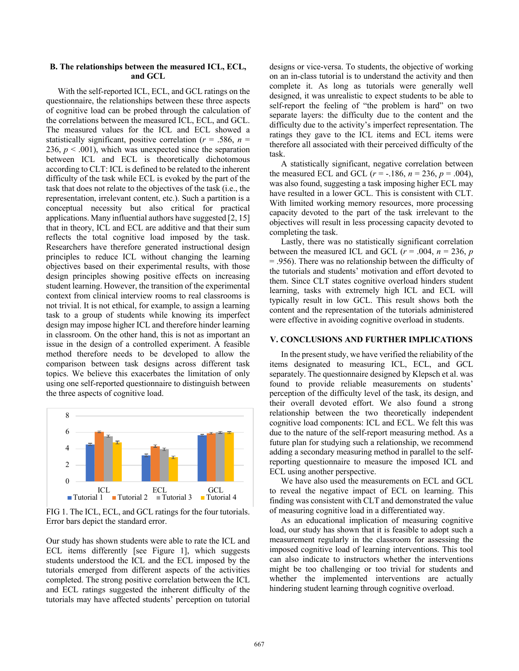## **B. The relationships between the measured ICL, ECL, and GCL**

With the self-reported ICL, ECL, and GCL ratings on the questionnaire, the relationships between these three aspects of cognitive load can be probed through the calculation of the correlations between the measured ICL, ECL, and GCL. The measured values for the ICL and ECL showed a statistically significant, positive correlation ( $r = .586$ ,  $n =$ 236,  $p < .001$ ), which was unexpected since the separation between ICL and ECL is theoretically dichotomous according to CLT: ICL is defined to be related to the inherent difficulty of the task while ECL is evoked by the part of the task that does not relate to the objectives of the task (i.e., the representation, irrelevant content, etc.). Such a partition is a conceptual necessity but also critical for practical applications. Many influential authors have suggested [2, 15] that in theory, ICL and ECL are additive and that their sum reflects the total cognitive load imposed by the task. Researchers have therefore generated instructional design principles to reduce ICL without changing the learning objectives based on their experimental results, with those design principles showing positive effects on increasing student learning. However, the transition of the experimental context from clinical interview rooms to real classrooms is not trivial. It is not ethical, for example, to assign a learning task to a group of students while knowing its imperfect design may impose higher ICL and therefore hinder learning in classroom. On the other hand, this is not as important an issue in the design of a controlled experiment. A feasible method therefore needs to be developed to allow the comparison between task designs across different task topics. We believe this exacerbates the limitation of only using one self-reported questionnaire to distinguish between the three aspects of cognitive load.



FIG 1. The ICL, ECL, and GCL ratings for the four tutorials. Error bars depict the standard error.

Our study has shown students were able to rate the ICL and ECL items differently [see Figure 1], which suggests students understood the ICL and the ECL imposed by the tutorials emerged from different aspects of the activities completed. The strong positive correlation between the ICL and ECL ratings suggested the inherent difficulty of the tutorials may have affected students' perception on tutorial designs or vice-versa. To students, the objective of working on an in-class tutorial is to understand the activity and then complete it. As long as tutorials were generally well designed, it was unrealistic to expect students to be able to self-report the feeling of "the problem is hard" on two separate layers: the difficulty due to the content and the difficulty due to the activity's imperfect representation. The ratings they gave to the ICL items and ECL items were therefore all associated with their perceived difficulty of the task.

A statistically significant, negative correlation between the measured ECL and GCL  $(r = -.186, n = 236, p = .004)$ , was also found, suggesting a task imposing higher ECL may have resulted in a lower GCL. This is consistent with CLT. With limited working memory resources, more processing capacity devoted to the part of the task irrelevant to the objectives will result in less processing capacity devoted to completing the task.

Lastly, there was no statistically significant correlation between the measured ICL and GCL  $(r = .004, n = 236, p)$ = .956). There was no relationship between the difficulty of the tutorials and students' motivation and effort devoted to them. Since CLT states cognitive overload hinders student learning, tasks with extremely high ICL and ECL will typically result in low GCL. This result shows both the content and the representation of the tutorials administered were effective in avoiding cognitive overload in students.

# **V. CONCLUSIONS AND FURTHER IMPLICATIONS**

In the present study, we have verified the reliability of the items designated to measuring ICL, ECL, and GCL separately. The questionnaire designed by Klepsch et al. was found to provide reliable measurements on students' perception of the difficulty level of the task, its design, and their overall devoted effort. We also found a strong relationship between the two theoretically independent cognitive load components: ICL and ECL. We felt this was due to the nature of the self-report measuring method. As a future plan for studying such a relationship, we recommend adding a secondary measuring method in parallel to the selfreporting questionnaire to measure the imposed ICL and ECL using another perspective.

We have also used the measurements on ECL and GCL to reveal the negative impact of ECL on learning. This finding was consistent with CLT and demonstrated the value of measuring cognitive load in a differentiated way.

As an educational implication of measuring cognitive load, our study has shown that it is feasible to adopt such a measurement regularly in the classroom for assessing the imposed cognitive load of learning interventions. This tool can also indicate to instructors whether the interventions might be too challenging or too trivial for students and whether the implemented interventions are actually hindering student learning through cognitive overload.